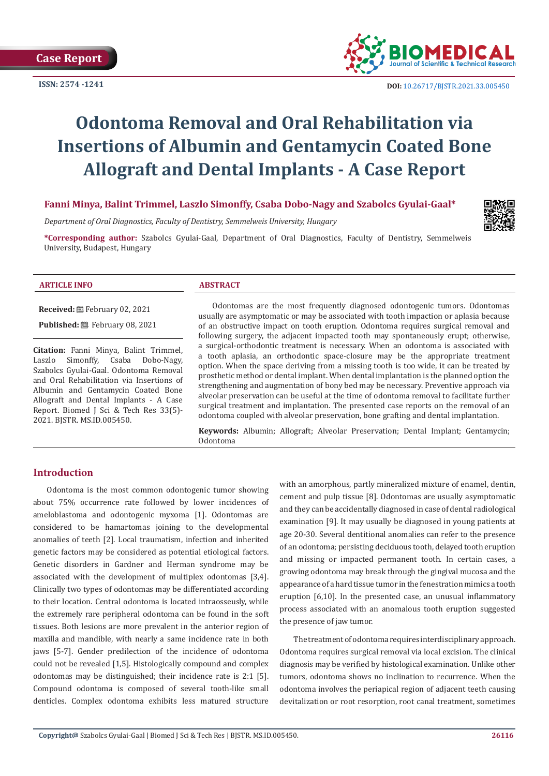**ISSN: 2574 -1241**



 **DOI:** [10.26717/BJSTR.2021.33.0054](http://dx.doi.org/10.26717/BJSTR.2021.33.005450)50

# **Odontoma Removal and Oral Rehabilitation via Insertions of Albumin and Gentamycin Coated Bone Allograft and Dental Implants - A Case Report**

# **Fanni Minya, Balint Trimmel, Laszlo Simonffy, Csaba Dobo-Nagy and Szabolcs Gyulai-Gaal\***

*Department of Oral Diagnostics, Faculty of Dentistry, Semmelweis University, Hungary* 

**\*Corresponding author:** Szabolcs Gyulai-Gaal, Department of Oral Diagnostics, Faculty of Dentistry, Semmelweis University, Budapest, Hungary

#### **ARTICLE INFO ABSTRACT**

**Received:** February 02, 2021

Published: **■**February 08, 2021

**Citation:** Fanni Minya, Balint Trimmel,<br>Laszlo Simonffy, Csaba Dobo-Nagy, Simonffy, Csaba Dobo-Nagy, Szabolcs Gyulai-Gaal. Odontoma Removal and Oral Rehabilitation via Insertions of Albumin and Gentamycin Coated Bone Allograft and Dental Implants - A Case Report. Biomed J Sci & Tech Res 33(5)- 2021. BJSTR. MS.ID.005450.

Odontomas are the most frequently diagnosed odontogenic tumors. Odontomas usually are asymptomatic or may be associated with tooth impaction or aplasia because of an obstructive impact on tooth eruption. Odontoma requires surgical removal and following surgery, the adjacent impacted tooth may spontaneously erupt; otherwise, a surgical-orthodontic treatment is necessary. When an odontoma is associated with a tooth aplasia, an orthodontic space-closure may be the appropriate treatment option. When the space deriving from a missing tooth is too wide, it can be treated by prosthetic method or dental implant. When dental implantation is the planned option the strengthening and augmentation of bony bed may be necessary. Preventive approach via alveolar preservation can be useful at the time of odontoma removal to facilitate further surgical treatment and implantation. The presented case reports on the removal of an odontoma coupled with alveolar preservation, bone grafting and dental implantation.

**Keywords:** Albumin; Allograft; Alveolar Preservation; Dental Implant; Gentamycin; Odontoma

# **Introduction**

Odontoma is the most common odontogenic tumor showing about 75% occurrence rate followed by lower incidences of ameloblastoma and odontogenic myxoma [1]. Odontomas are considered to be hamartomas joining to the developmental anomalies of teeth [2]. Local traumatism, infection and inherited genetic factors may be considered as potential etiological factors. Genetic disorders in Gardner and Herman syndrome may be associated with the development of multiplex odontomas [3,4]. Clinically two types of odontomas may be differentiated according to their location. Central odontoma is located intraosseusly, while the extremely rare peripheral odontoma can be found in the soft tissues. Both lesions are more prevalent in the anterior region of maxilla and mandible, with nearly a same incidence rate in both jaws [5-7]. Gender predilection of the incidence of odontoma could not be revealed [1,5]. Histologically compound and complex odontomas may be distinguished; their incidence rate is 2:1 [5]. Compound odontoma is composed of several tooth-like small denticles. Complex odontoma exhibits less matured structure

with an amorphous, partly mineralized mixture of enamel, dentin, cement and pulp tissue [8]. Odontomas are usually asymptomatic and they can be accidentally diagnosed in case of dental radiological examination [9]. It may usually be diagnosed in young patients at age 20-30. Several dentitional anomalies can refer to the presence of an odontoma; persisting deciduous tooth, delayed tooth eruption and missing or impacted permanent tooth. In certain cases, a growing odontoma may break through the gingival mucosa and the appearance of a hard tissue tumor in the fenestration mimics a tooth eruption [6,10]. In the presented case, an unusual inflammatory process associated with an anomalous tooth eruption suggested the presence of jaw tumor.

The treatment of odontoma requires interdisciplinary approach. Odontoma requires surgical removal via local excision. The clinical diagnosis may be verified by histological examination. Unlike other tumors, odontoma shows no inclination to recurrence. When the odontoma involves the periapical region of adjacent teeth causing devitalization or root resorption, root canal treatment, sometimes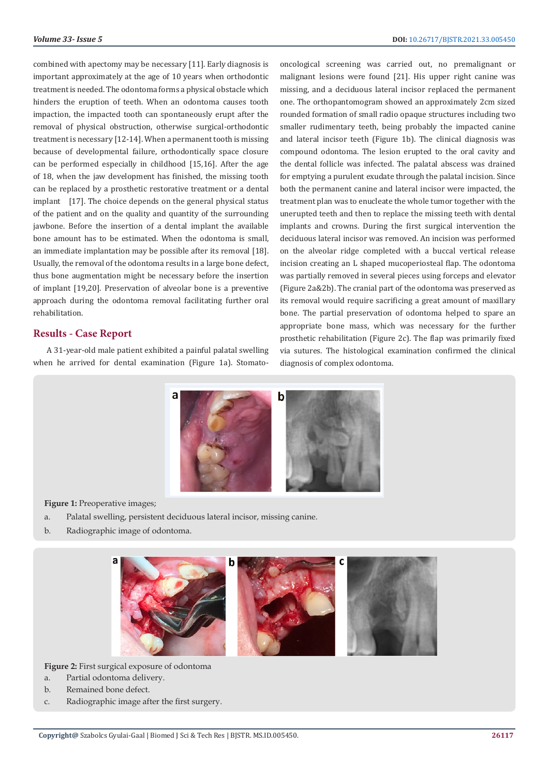combined with apectomy may be necessary [11]. Early diagnosis is important approximately at the age of 10 years when orthodontic treatment is needed. The odontoma forms a physical obstacle which hinders the eruption of teeth. When an odontoma causes tooth impaction, the impacted tooth can spontaneously erupt after the removal of physical obstruction, otherwise surgical-orthodontic treatment is necessary [12-14]. When a permanent tooth is missing because of developmental failure, orthodontically space closure can be performed especially in childhood [15,16]. After the age of 18, when the jaw development has finished, the missing tooth can be replaced by a prosthetic restorative treatment or a dental implant [17]. The choice depends on the general physical status of the patient and on the quality and quantity of the surrounding jawbone. Before the insertion of a dental implant the available bone amount has to be estimated. When the odontoma is small, an immediate implantation may be possible after its removal [18]. Usually, the removal of the odontoma results in a large bone defect, thus bone augmentation might be necessary before the insertion of implant [19,20]. Preservation of alveolar bone is a preventive approach during the odontoma removal facilitating further oral rehabilitation.

## **Results - Case Report**

A 31-year-old male patient exhibited a painful palatal swelling when he arrived for dental examination (Figure 1a). Stomatooncological screening was carried out, no premalignant or malignant lesions were found [21]. His upper right canine was missing, and a deciduous lateral incisor replaced the permanent one. The orthopantomogram showed an approximately 2cm sized rounded formation of small radio opaque structures including two smaller rudimentary teeth, being probably the impacted canine and lateral incisor teeth (Figure 1b). The clinical diagnosis was compound odontoma. The lesion erupted to the oral cavity and the dental follicle was infected. The palatal abscess was drained for emptying a purulent exudate through the palatal incision. Since both the permanent canine and lateral incisor were impacted, the treatment plan was to enucleate the whole tumor together with the unerupted teeth and then to replace the missing teeth with dental implants and crowns. During the first surgical intervention the deciduous lateral incisor was removed. An incision was performed on the alveolar ridge completed with a buccal vertical release incision creating an L shaped mucoperiosteal flap. The odontoma was partially removed in several pieces using forceps and elevator (Figure 2a&2b). The cranial part of the odontoma was preserved as its removal would require sacrificing a great amount of maxillary bone. The partial preservation of odontoma helped to spare an appropriate bone mass, which was necessary for the further prosthetic rehabilitation (Figure 2c). The flap was primarily fixed via sutures. The histological examination confirmed the clinical diagnosis of complex odontoma.



**Figure 1:** Preoperative images;

- a. Palatal swelling, persistent deciduous lateral incisor, missing canine.
- b. Radiographic image of odontoma.



**Figure 2:** First surgical exposure of odontoma

- a. Partial odontoma delivery.
- b. Remained bone defect.
- c. Radiographic image after the first surgery.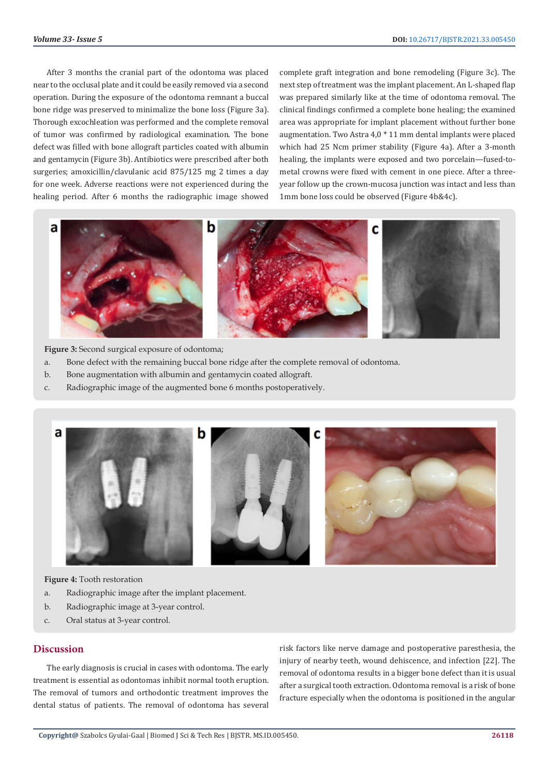After 3 months the cranial part of the odontoma was placed near to the occlusal plate and it could be easily removed via a second operation. During the exposure of the odontoma remnant a buccal bone ridge was preserved to minimalize the bone loss (Figure 3a). Thorough excochleation was performed and the complete removal of tumor was confirmed by radiological examination. The bone defect was filled with bone allograft particles coated with albumin and gentamycin (Figure 3b). Antibiotics were prescribed after both surgeries; amoxicillin/clavulanic acid 875/125 mg 2 times a day for one week. Adverse reactions were not experienced during the healing period. After 6 months the radiographic image showed

complete graft integration and bone remodeling (Figure 3c). The next step of treatment was the implant placement. An L-shaped flap was prepared similarly like at the time of odontoma removal. The clinical findings confirmed a complete bone healing; the examined area was appropriate for implant placement without further bone augmentation. Two Astra 4,0 \* 11 mm dental implants were placed which had 25 Ncm primer stability (Figure 4a). After a 3-month healing, the implants were exposed and two porcelain—fused-tometal crowns were fixed with cement in one piece. After a threeyear follow up the crown-mucosa junction was intact and less than 1mm bone loss could be observed (Figure 4b&4c).



**Figure 3:** Second surgical exposure of odontoma;

- a. Bone defect with the remaining buccal bone ridge after the complete removal of odontoma.
- b. Bone augmentation with albumin and gentamycin coated allograft.
- c. Radiographic image of the augmented bone 6 months postoperatively.



**Figure 4:** Tooth restoration

- a. Radiographic image after the implant placement.
- b. Radiographic image at 3-year control.
- c. Oral status at 3-year control.

## **Discussion**

The early diagnosis is crucial in cases with odontoma. The early treatment is essential as odontomas inhibit normal tooth eruption. The removal of tumors and orthodontic treatment improves the dental status of patients. The removal of odontoma has several

risk factors like nerve damage and postoperative paresthesia, the injury of nearby teeth, wound dehiscence, and infection [22]. The removal of odontoma results in a bigger bone defect than it is usual after a surgical tooth extraction. Odontoma removal is a risk of bone fracture especially when the odontoma is positioned in the angular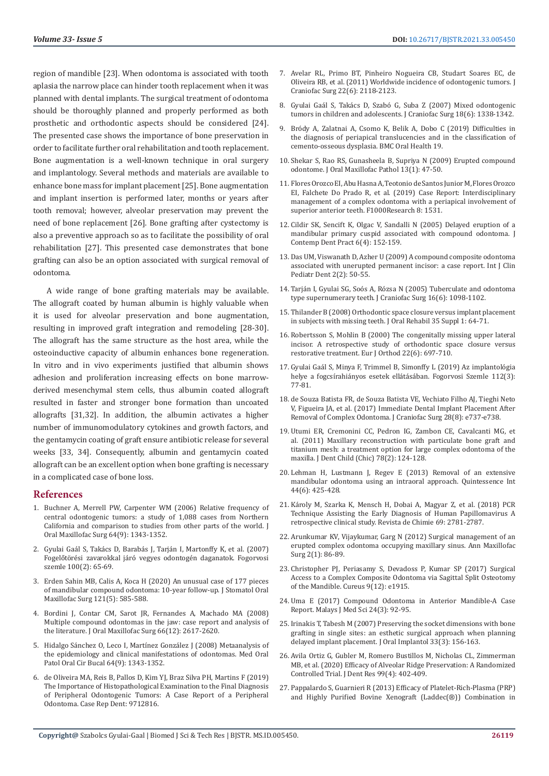region of mandible [23]. When odontoma is associated with tooth aplasia the narrow place can hinder tooth replacement when it was planned with dental implants. The surgical treatment of odontoma should be thoroughly planned and properly performed as both prosthetic and orthodontic aspects should be considered [24]. The presented case shows the importance of bone preservation in order to facilitate further oral rehabilitation and tooth replacement. Bone augmentation is a well-known technique in oral surgery and implantology. Several methods and materials are available to enhance bone mass for implant placement [25]. Bone augmentation and implant insertion is performed later, months or years after tooth removal; however, alveolar preservation may prevent the need of bone replacement [26]. Bone grafting after cystectomy is also a preventive approach so as to facilitate the possibility of oral rehabilitation [27]. This presented case demonstrates that bone grafting can also be an option associated with surgical removal of odontoma.

A wide range of bone grafting materials may be available. The allograft coated by human albumin is highly valuable when it is used for alveolar preservation and bone augmentation, resulting in improved graft integration and remodeling [28-30]. The allograft has the same structure as the host area, while the osteoinductive capacity of albumin enhances bone regeneration. In vitro and in vivo experiments justified that albumin shows adhesion and proliferation increasing effects on bone marrowderived mesenchymal stem cells, thus albumin coated allograft resulted in faster and stronger bone formation than uncoated allografts [31,32]. In addition, the albumin activates a higher number of immunomodulatory cytokines and growth factors, and the gentamycin coating of graft ensure antibiotic release for several weeks [33, 34]. Consequently, albumin and gentamycin coated allograft can be an excellent option when bone grafting is necessary in a complicated case of bone loss.

#### **References**

- 1. Buchner A, Merrell PW, Carpenter WM (2006) Relative frequency of central odontogenic tumors: a study of 1,088 cases from Northern California and comparison to studies from other parts of the world. J Oral Maxillofac Surg 64(9): 1343-1352.
- 2. Gyulai Gaál S, Takács D, Barabás J, Tarján I, Martonffy K, et al. (2007) Fogelőtörési zavarokkal járó vegyes odontogén daganatok. Fogorvosi szemle 100(2): 65-69.
- 3. [Erden Sahin MB, Calis A, Koca H \(2020\) An unusual case of 177 pieces](https://pubmed.ncbi.nlm.nih.gov/32220610/)  [of mandibular compound odontoma: 10-year follow-up. J Stomatol Oral](https://pubmed.ncbi.nlm.nih.gov/32220610/)  [Maxillofac Surg 121\(5\): 585-588.](https://pubmed.ncbi.nlm.nih.gov/32220610/)
- 4. [Bordini J, Contar CM, Sarot JR, Fernandes A, Machado MA \(2008\)](https://pubmed.ncbi.nlm.nih.gov/19022145/)  [Multiple compound odontomas in the jaw: case report and analysis of](https://pubmed.ncbi.nlm.nih.gov/19022145/)  [the literature. J Oral Maxillofac Surg 66\(12\): 2617-2620.](https://pubmed.ncbi.nlm.nih.gov/19022145/)
- 5. [Hidalgo Sánchez O, Leco I, Martínez González J \(2008\) Metaanalysis of](https://pubmed.ncbi.nlm.nih.gov/18978716/)  [the epidemiology and clinical manifestations of odontomas. Med Oral](https://pubmed.ncbi.nlm.nih.gov/18978716/)  [Patol Oral Cir Bucal 64\(9\): 1343-1352.](https://pubmed.ncbi.nlm.nih.gov/18978716/)
- 6. [de Oliveira MA, Reis B, Pallos D, Kim YJ, Braz Silva PH, Martins F \(2019\)](https://pubmed.ncbi.nlm.nih.gov/31583140/)  [The Importance of Histopathological Examination to the Final Diagnosis](https://pubmed.ncbi.nlm.nih.gov/31583140/)  [of Peripheral Odontogenic Tumors: A Case Report of a Peripheral](https://pubmed.ncbi.nlm.nih.gov/31583140/)  [Odontoma. Case Rep Dent: 9712816.](https://pubmed.ncbi.nlm.nih.gov/31583140/)
- 7. [Avelar RL, Primo BT, Pinheiro Nogueira CB, Studart Soares EC, de](https://pubmed.ncbi.nlm.nih.gov/22067866/) [Oliveira RB, et al. \(2011\) Worldwide incidence of odontogenic tumors. J](https://pubmed.ncbi.nlm.nih.gov/22067866/) [Craniofac Surg 22\(6\): 2118-2123.](https://pubmed.ncbi.nlm.nih.gov/22067866/)
- 8. [Gyulai Gaál S, Takács D, Szabó G, Suba Z \(2007\) Mixed odontogenic](https://pubmed.ncbi.nlm.nih.gov/17546897/) [tumors in children and adolescents. J Craniofac Surg 18\(6\): 1338-1342.](https://pubmed.ncbi.nlm.nih.gov/17546897/)
- 9. [Bródy A, Zalatnai A, Csomo K, Belik A, Dobo C \(2019\) Difficulties in](https://bmcoralhealth.biomedcentral.com/articles/10.1186/s12903-019-0843-0) [the diagnosis of periapical translucencies and in the classification of](https://bmcoralhealth.biomedcentral.com/articles/10.1186/s12903-019-0843-0) [cemento-osseous dysplasia. BMC Oral Health 19.](https://bmcoralhealth.biomedcentral.com/articles/10.1186/s12903-019-0843-0)
- 10. [Shekar S, Rao RS, Gunasheela B, Supriya N \(2009\) Erupted compound](https://pubmed.ncbi.nlm.nih.gov/21886999/) [odontome. J Oral Maxillofac Pathol 13\(1\): 47-50.](https://pubmed.ncbi.nlm.nih.gov/21886999/)
- 11. [Flores Orozco EI, Abu Hasna A, Teotonio de Santos Junior M, Flores Orozco](https://pubmed.ncbi.nlm.nih.gov/31824665/) [EI, Falchete Do Prado R, et al. \(2019\) Case Report: Interdisciplinary](https://pubmed.ncbi.nlm.nih.gov/31824665/) [management of a complex odontoma with a periapical involvement of](https://pubmed.ncbi.nlm.nih.gov/31824665/) [superior anterior teeth. F1000Research 8: 1531.](https://pubmed.ncbi.nlm.nih.gov/31824665/)
- 12. [Cildir SK, Sencift K, Olgac V, Sandalli N \(2005\) Delayed eruption of a](https://pubmed.ncbi.nlm.nih.gov/16299617/) [mandibular primary cuspid associated with compound odontoma. J](https://pubmed.ncbi.nlm.nih.gov/16299617/) [Contemp Dent Pract 6\(4\): 152-159.](https://pubmed.ncbi.nlm.nih.gov/16299617/)
- 13. [Das UM, Viswanath D, Azher U \(2009\) A compound composite odontoma](https://www.ncbi.nlm.nih.gov/pmc/articles/PMC4086559/) [associated with unerupted permanent incisor: a case report. Int J Clin](https://www.ncbi.nlm.nih.gov/pmc/articles/PMC4086559/) [Pediatr Dent 2\(2\): 50-55.](https://www.ncbi.nlm.nih.gov/pmc/articles/PMC4086559/)
- 14. [Tarján I, Gyulai SG, Soós A, Rózsa N \(2005\) Tuberculate and odontoma](https://pubmed.ncbi.nlm.nih.gov/16327561/) [type supernumerary teeth. J Craniofac Surg 16\(6\): 1098-1102.](https://pubmed.ncbi.nlm.nih.gov/16327561/)
- 15. [Thilander B \(2008\) Orthodontic space closure versus implant placement](https://pubmed.ncbi.nlm.nih.gov/18181935/) [in subjects with missing teeth. J Oral Rehabil 35 Suppl 1: 64-71.](https://pubmed.ncbi.nlm.nih.gov/18181935/)
- 16. [Robertsson S, Mohlin B \(2000\) The congenitally missing upper lateral](https://pubmed.ncbi.nlm.nih.gov/11212605/) [incisor. A retrospective study of orthodontic space closure versus](https://pubmed.ncbi.nlm.nih.gov/11212605/) [restorative treatment. Eur J Orthod 22\(6\): 697-710.](https://pubmed.ncbi.nlm.nih.gov/11212605/)
- 17. [Gyulai Gaál S, Minya F, Trimmel B, Simonffy L \(2019\) Az implantológia](https://ojs.mtak.hu/index.php/fogorv-szemle/article/view/2176) [helye a fogcsírahiányos esetek ellátásában. Fogorvosi Szemle 112\(3\):](https://ojs.mtak.hu/index.php/fogorv-szemle/article/view/2176) [77-81.](https://ojs.mtak.hu/index.php/fogorv-szemle/article/view/2176)
- 18. [de Souza Batista FR, de Souza Batista VE, Vechiato Filho AJ, Tieghi Neto](https://pubmed.ncbi.nlm.nih.gov/28922246/) [V, Figueira JA, et al. \(2017\) Immediate Dental Implant Placement After](https://pubmed.ncbi.nlm.nih.gov/28922246/) [Removal of Complex Odontoma. J Craniofac Surg 28\(8\): e737-e738.](https://pubmed.ncbi.nlm.nih.gov/28922246/)
- 19. [Utumi ER, Cremonini CC, Pedron IG, Zambon CE, Cavalcanti MG, et](https://pubmed.ncbi.nlm.nih.gov/22041120/) [al. \(2011\) Maxillary reconstruction with particulate bone graft and](https://pubmed.ncbi.nlm.nih.gov/22041120/) [titanium mesh: a treatment option for large complex odontoma of the](https://pubmed.ncbi.nlm.nih.gov/22041120/) [maxilla. J Dent Child \(Chic\) 78\(2\): 124-128.](https://pubmed.ncbi.nlm.nih.gov/22041120/)
- 20. [Lehman H, Lustmann J, Regev E \(2013\) Removal of an extensive](https://pubmed.ncbi.nlm.nih.gov/23479585/) [mandibular odontoma using an intraoral approach. Quintessence Int](https://pubmed.ncbi.nlm.nih.gov/23479585/) [44\(6\): 425-428.](https://pubmed.ncbi.nlm.nih.gov/23479585/)
- 21. [Károly M, Szarka K, Mensch H, Dobai A, Magyar Z, et al. \(2018\) PCR](https://www.researchgate.net/publication/329152364_PCR_Technique_Assisting_the_Early_Diagnosis_of_Human_Papillomavirus_A_retrospective_clinical_study) [Technique Assisting the Early Diagnosis of Human Papillomavirus A](https://www.researchgate.net/publication/329152364_PCR_Technique_Assisting_the_Early_Diagnosis_of_Human_Papillomavirus_A_retrospective_clinical_study) [retrospective clinical study. Revista de Chimie 69: 2781-2787.](https://www.researchgate.net/publication/329152364_PCR_Technique_Assisting_the_Early_Diagnosis_of_Human_Papillomavirus_A_retrospective_clinical_study)
- 22. [Arunkumar KV, Vijaykumar, Garg N \(2012\) Surgical management of an](https://pubmed.ncbi.nlm.nih.gov/23482681/) [erupted complex odontoma occupying maxillary sinus. Ann Maxillofac](https://pubmed.ncbi.nlm.nih.gov/23482681/) [Surg 2\(1\): 86-89.](https://pubmed.ncbi.nlm.nih.gov/23482681/)
- 23. [Christopher PJ, Periasamy S, Devadoss P, Kumar SP \(2017\) Surgical](https://www.ncbi.nlm.nih.gov/pmc/articles/PMC5800754/) [Access to a Complex Composite Odontoma via Sagittal Split Osteotomy](https://www.ncbi.nlm.nih.gov/pmc/articles/PMC5800754/) [of the Mandible. Cureus 9\(12\): e1915.](https://www.ncbi.nlm.nih.gov/pmc/articles/PMC5800754/)
- 24. [Uma E \(2017\) Compound Odontoma in Anterior Mandible-A Case](https://www.ncbi.nlm.nih.gov/pmc/articles/PMC5545622/) [Report. Malays J Med Sci 24\(3\): 92-95.](https://www.ncbi.nlm.nih.gov/pmc/articles/PMC5545622/)
- 25. [Irinakis T, Tabesh M \(2007\) Preserving the socket dimensions with bone](https://pubmed.ncbi.nlm.nih.gov/17674682/) [grafting in single sites: an esthetic surgical approach when planning](https://pubmed.ncbi.nlm.nih.gov/17674682/) [delayed implant placement. J Oral Implantol 33\(3\): 156-163.](https://pubmed.ncbi.nlm.nih.gov/17674682/)
- 26. [Avila Ortiz G, Gubler M, Romero Bustillos M, Nicholas CL, Zimmerman](https://pubmed.ncbi.nlm.nih.gov/32050833/) [MB, et al. \(2020\) Efficacy of Alveolar Ridge Preservation: A Randomized](https://pubmed.ncbi.nlm.nih.gov/32050833/) [Controlled Trial. J Dent Res 99\(4\): 402-409.](https://pubmed.ncbi.nlm.nih.gov/32050833/)
- 27. [Pappalardo S, Guarnieri R \(2013\) Efficacy of Platelet-Rich-Plasma \(PRP\)](https://pubmed.ncbi.nlm.nih.gov/24422036/) [and Highly Purified Bovine Xenograft \(Laddec\(®\)\) Combination in](https://pubmed.ncbi.nlm.nih.gov/24422036/)